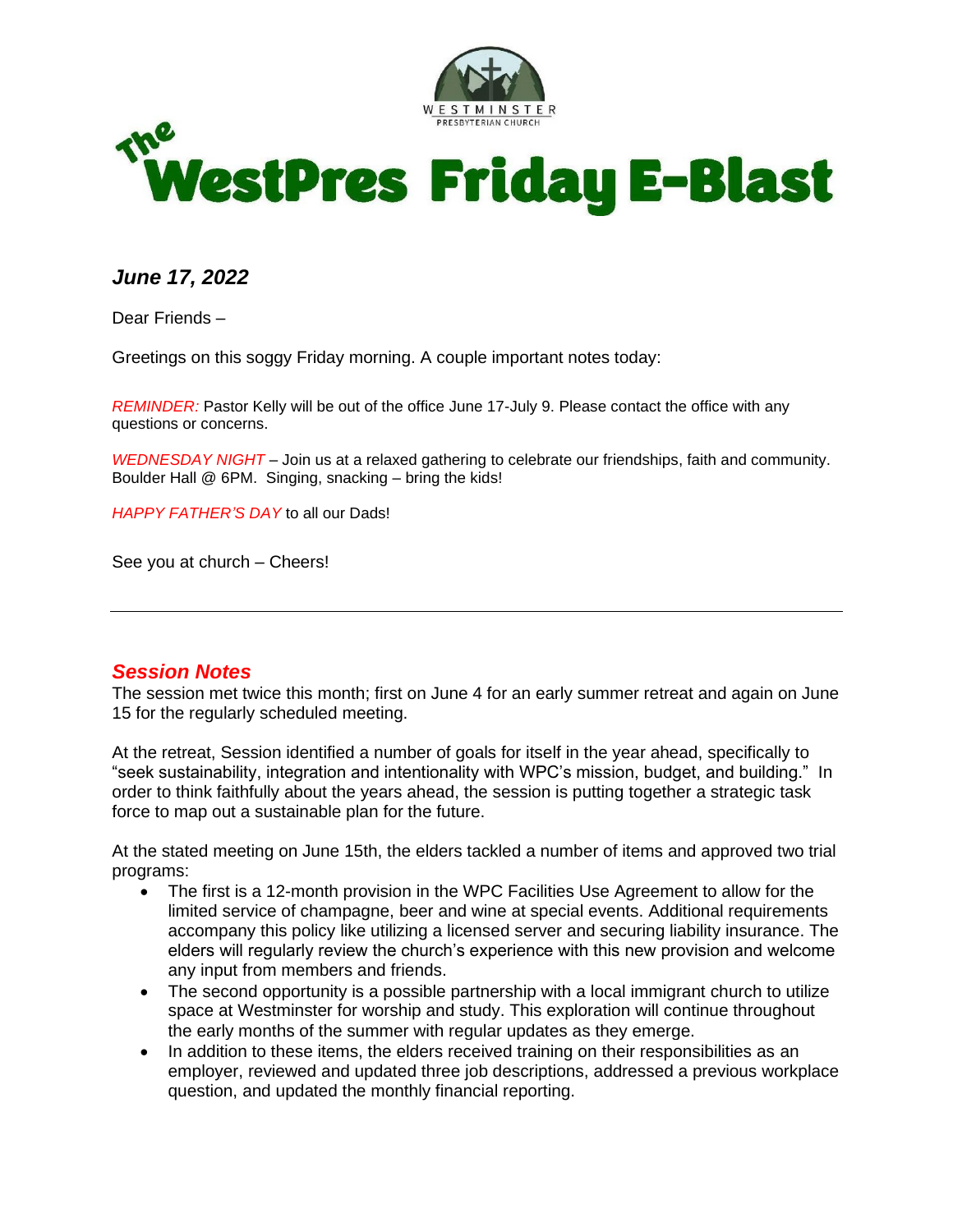



*June 17, 2022*

Dear Friends –

Greetings on this soggy Friday morning. A couple important notes today:

*REMINDER:* Pastor Kelly will be out of the office June 17-July 9. Please contact the office with any questions or concerns.

*WEDNESDAY NIGHT* – Join us at a relaxed gathering to celebrate our friendships, faith and community. Boulder Hall @ 6PM. Singing, snacking – bring the kids!

*HAPPY FATHER'S DAY* to all our Dads!

See you at church – Cheers!

#### *Session Notes*

The session met twice this month; first on June 4 for an early summer retreat and again on June 15 for the regularly scheduled meeting.

At the retreat, Session identified a number of goals for itself in the year ahead, specifically to "seek sustainability, integration and intentionality with WPC's mission, budget, and building." In order to think faithfully about the years ahead, the session is putting together a strategic task force to map out a sustainable plan for the future.

At the stated meeting on June 15th, the elders tackled a number of items and approved two trial programs:

- The first is a 12-month provision in the WPC Facilities Use Agreement to allow for the limited service of champagne, beer and wine at special events. Additional requirements accompany this policy like utilizing a licensed server and securing liability insurance. The elders will regularly review the church's experience with this new provision and welcome any input from members and friends.
- The second opportunity is a possible partnership with a local immigrant church to utilize space at Westminster for worship and study. This exploration will continue throughout the early months of the summer with regular updates as they emerge.
- In addition to these items, the elders received training on their responsibilities as an employer, reviewed and updated three job descriptions, addressed a previous workplace question, and updated the monthly financial reporting.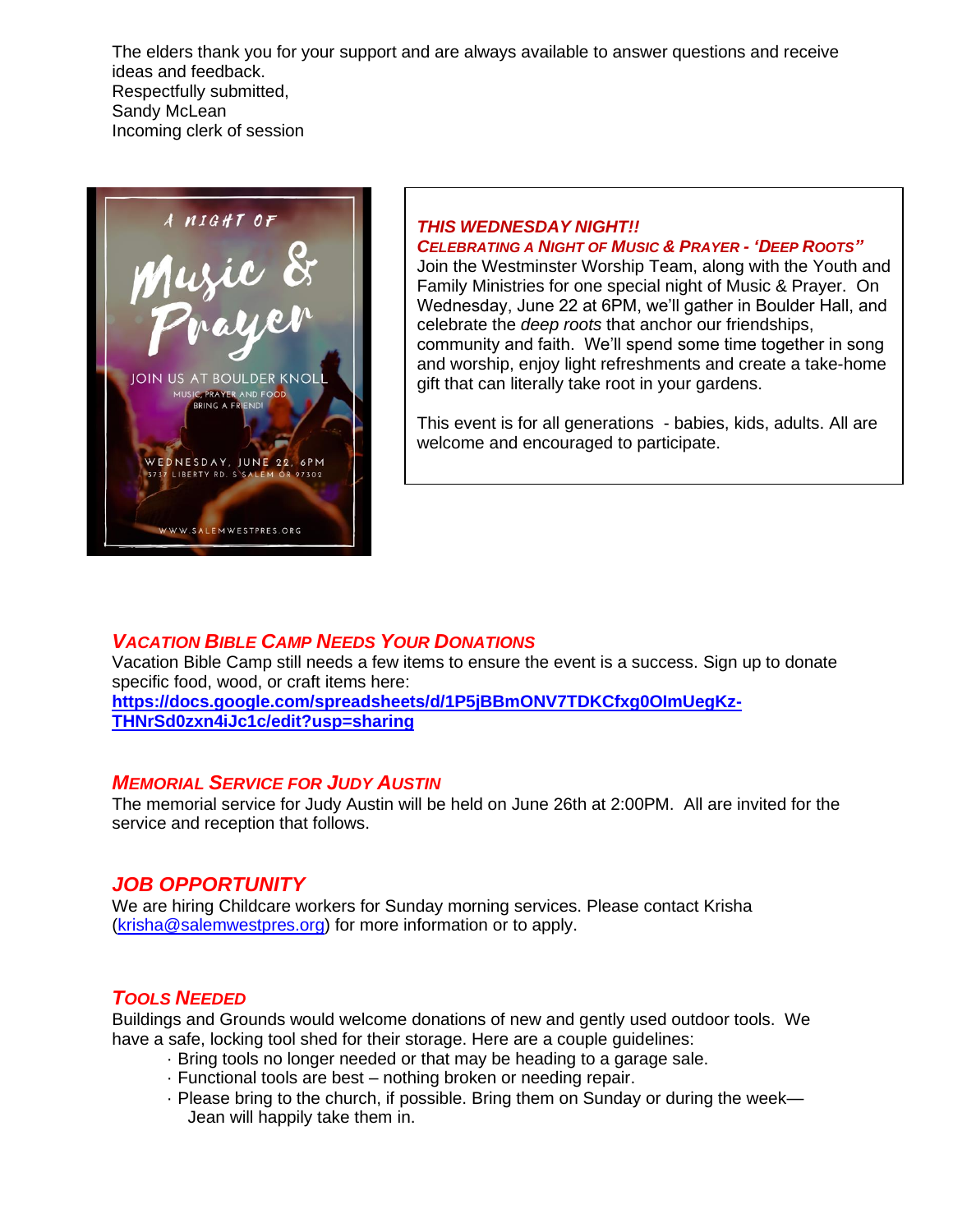The elders thank you for your support and are always available to answer questions and receive ideas and feedback. Respectfully submitted, Sandy McLean Incoming clerk of session



#### *THIS WEDNESDAY NIGHT!! CELEBRATING A NIGHT OF MUSIC & PRAYER - 'DEEP ROOTS"*

Join the Westminster Worship Team, along with the Youth and Family Ministries for one special night of Music & Prayer. On Wednesday, June 22 at 6PM, we'll gather in Boulder Hall, and celebrate the *deep roots* that anchor our friendships, community and faith. We'll spend some time together in song and worship, enjoy light refreshments and create a take-home gift that can literally take root in your gardens.

This event is for all generations - babies, kids, adults. All are welcome and encouraged to participate.

## *VACATION BIBLE CAMP NEEDS YOUR DONATIONS*

Vacation Bible Camp still needs a few items to ensure the event is a success. Sign up to donate specific food, wood, or craft items here: **[https://docs.google.com/spreadsheets/d/1P5jBBmONV7TDKCfxg0OImUegKz-](https://docs.google.com/spreadsheets/d/1P5jBBmONV7TDKCfxg0OImUegKz-THNrSd0zxn4iJc1c/edit?usp=sharing)**

**[THNrSd0zxn4iJc1c/edit?usp=sharing](https://docs.google.com/spreadsheets/d/1P5jBBmONV7TDKCfxg0OImUegKz-THNrSd0zxn4iJc1c/edit?usp=sharing)**

#### *MEMORIAL SERVICE FOR JUDY AUSTIN*

The memorial service for Judy Austin will be held on June 26th at 2:00PM. All are invited for the service and reception that follows.

## *JOB OPPORTUNITY*

We are hiring Childcare workers for Sunday morning services. Please contact Krisha ([krisha@salemwestpres.org](mailto:krisha@salemwestpres.org)) for more information or to apply.

## *TOOLS NEEDED*

Buildings and Grounds would welcome donations of new and gently used outdoor tools. We have a safe, locking tool shed for their storage. Here are a couple guidelines:

- · Bring tools no longer needed or that may be heading to a garage sale.
- · Functional tools are best nothing broken or needing repair.
- · Please bring to the church, if possible. Bring them on Sunday or during the week— Jean will happily take them in.